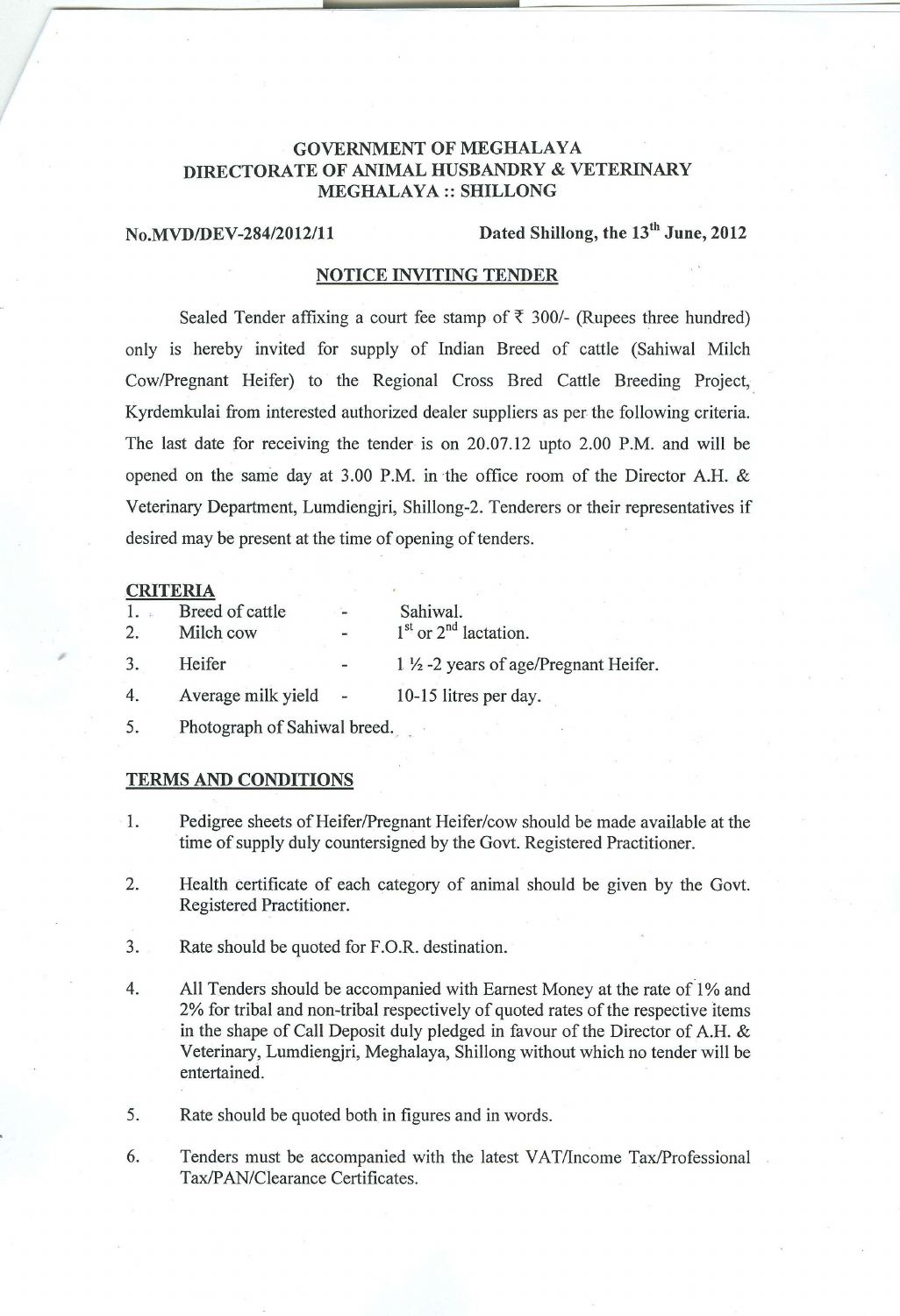## GOVERNMENT OF MEGHALAYA DIRECTORATE OF ANIMAL HUSBANDRY & VETERINARY MEGHALAYA:: SHILLONG

**D** 

# No.MVD/DEV-284/2012/11 Dated Shillong, the 13<sup>th</sup> June, 2012

## NOTICE INVITING TENDER

Sealed Tender affixing a court fee stamp of  $\bar{\tau}$  300/- (Rupees three hundred) only is hereby invited for supply of Indian Breed of cattle (Sahiwal Milch CowlPregnant Heifer) to the Regional Cross Bred Cattle Breeding Project, Kyrdemkulai from interested authorized dealer suppliers as per the following criteria. The last date for receiving the tender is on 20.07.12 upto 2.00 P.M. and will be opened on the same day at 3.00 P.M. in the office room of the Director A.H. & Veterinary Department, Lumdiengjri, Shillong-2. Tenderers or their representatives if desired may be present at the time of opening of tenders.

#### CRITERIA

;

| 1.<br>2. | Breed of cattle<br>Milch cow | $\frac{1}{2}$ | Sahiwal.<br>$1st$ or $2nd$ lactation.           |
|----------|------------------------------|---------------|-------------------------------------------------|
| 3.       | Heifer                       |               | $1\frac{1}{2}$ -2 years of age/Pregnant Heifer. |
| 4.       | Average milk yield           | $\sim$        | 10-15 litres per day.                           |
|          |                              |               |                                                 |

5. Photograph of Sahiwal breed.

### TERMS AND CONDITIONS

- 1. Pedigree sheets of Heifer/Pregnant Heifer/cow should be made available at the time of supply duly countersigned by the Govt. Registered Practitioner.
- 2. Health certificate of each category of animal should be given by the Govt. Registered Practitioner.
- 3. Rate should be quoted for F.O.R. destination.
- 4. All Tenders should be accompanied with Earnest Money at the rate of 1% and 2% for tribal and non-tribal respectively of quoted rates of the respective items in the shape of Call Deposit duly pledged in favour of the Director of A.H. & Veterinary, Lumdiengjri, Meghalaya, Shillong without which no tender will be entertained.
- 5. Rate should be quoted both in figures and in words.
- 6. Tenders must be accompanied with the latest VAT/Income Tax/Professional Tax/PAN/Clearance Certificates.